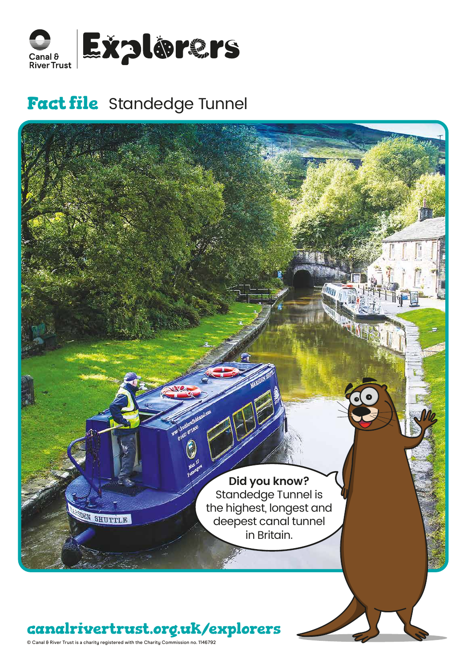

# **Fact file** Standedge Tunnel



© Canal & River Trust is a charity registered with the Charity Commission no. 1146792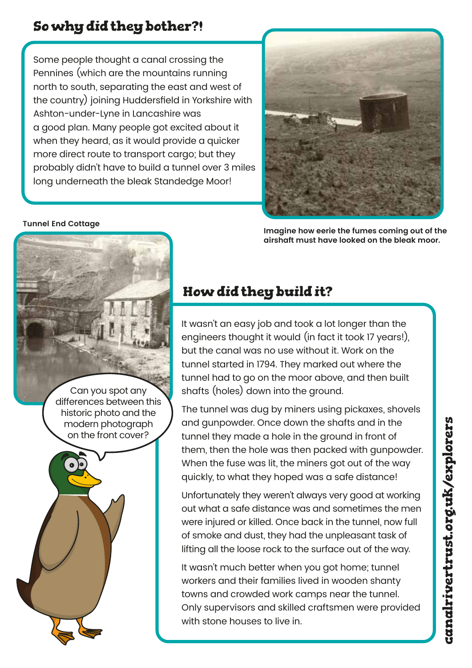### **So why did they bother?!**

Some people thought a canal crossing the Pennines (which are the mountains running north to south, separating the east and west of the country) joining Huddersfield in Yorkshire with Ashton-under-Lyne in Lancashire was a good plan. Many people got excited about it when they heard, as it would provide a quicker more direct route to transport cargo; but they probably didn't have to build a tunnel over 3 miles long underneath the bleak Standedge Moor!



**Imagine how eerie the fumes coming out of the airshaft must have looked on the bleak moor.**



**Tunnel End Cottage** 



## **How did they build it?**

It wasn't an easy job and took a lot longer than the engineers thought it would (in fact it took 17 years!), but the canal was no use without it. Work on the tunnel started in 1794. They marked out where the tunnel had to go on the moor above, and then built shafts (holes) down into the ground.

The tunnel was dug by miners using pickaxes, shovels and gunpowder. Once down the shafts and in the tunnel they made a hole in the ground in front of them, then the hole was then packed with gunpowder. When the fuse was lit, the miners got out of the way quickly, to what they hoped was a safe distance!

Unfortunately they weren't always very good at working out what a safe distance was and sometimes the men were injured or killed. Once back in the tunnel, now full of smoke and dust, they had the unpleasant task of lifting all the loose rock to the surface out of the way.

It wasn't much better when you got home; tunnel workers and their families lived in wooden shanty towns and crowded work camps near the tunnel. Only supervisors and skilled craftsmen were provided with stone houses to live in.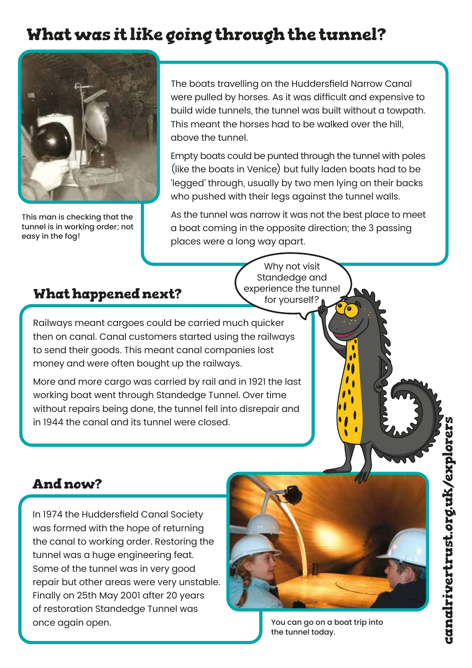# **What was it like going through the tunnel?**



This man is checking that the tunnel is in working order; not easy in the fog!

The boats travelling on the Huddersfield Narrow Canal were pulled by horses. As it was difficult and expensive to build wide tunnels, the tunnel was built without a towpath. This meant the horses had to be walked over the hill, above the tunnel.

Empty boats could be punted through the tunnel with poles (like the boats in Venice) but fully laden boats had to be 'legged' through, usually by two men lying on their backs who pushed with their legs against the tunnel walls.

As the tunnel was narrow it was not the best place to meet a boat coming in the opposite direction; the 3 passing places were a long way apart.

#### **What happened next?**

Why not visit Standedge and experience the tunnel for yourself?

Railways meant cargoes could be carried much quicker then on canal. Canal customers started using the railways to send their goods. This meant canal companies lost money and were often bought up the railways.

More and more cargo was carried by rail and in 1921 the last working boat went through Standedge Tunnel. Over time without repairs being done, the tunnel fell into disrepair and in 1944 the canal and its tunnel were closed.

### **And now?**

In 1974 the Huddersfield Canal Society was formed with the hope of returning the canal to working order. Restoring the tunnel was a huge engineering feat. Some of the tunnel was in very good repair but other areas were very unstable. Finally on 25th May 2001 after 20 years of restoration Standedge Tunnel was once again open.



You can go on a boat trip into the tunnel today.